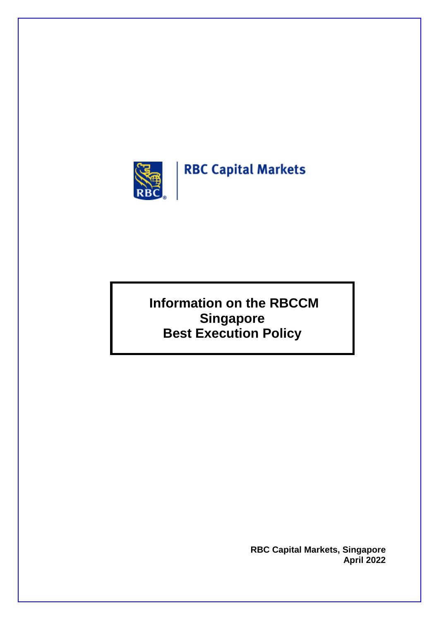

# **RBC Capital Markets**

**Information on the RBCCM Singapore Best Execution Policy**

> **RBC Capital Markets, Singapore April 2022**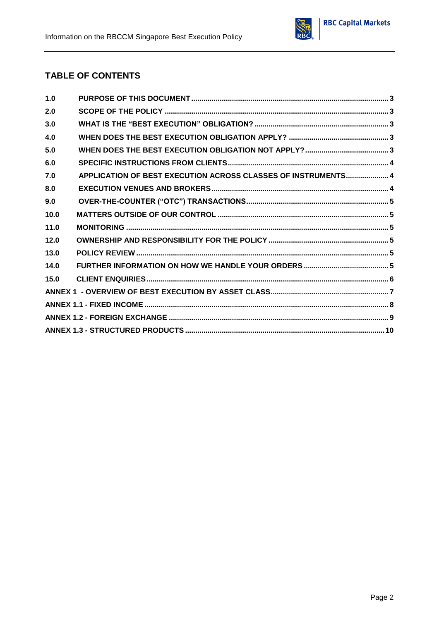

#### **TABLE OF CONTENTS**

| 1.0  |                                                               |  |
|------|---------------------------------------------------------------|--|
| 2.0  |                                                               |  |
| 3.0  |                                                               |  |
| 4.0  |                                                               |  |
| 5.0  |                                                               |  |
| 6.0  |                                                               |  |
| 7.0  | APPLICATION OF BEST EXECUTION ACROSS CLASSES OF INSTRUMENTS 4 |  |
| 8.0  |                                                               |  |
| 9.0  |                                                               |  |
| 10.0 |                                                               |  |
| 11.0 |                                                               |  |
| 12.0 |                                                               |  |
| 13.0 |                                                               |  |
| 14.0 |                                                               |  |
| 15.0 |                                                               |  |
|      |                                                               |  |
|      |                                                               |  |
|      |                                                               |  |
|      |                                                               |  |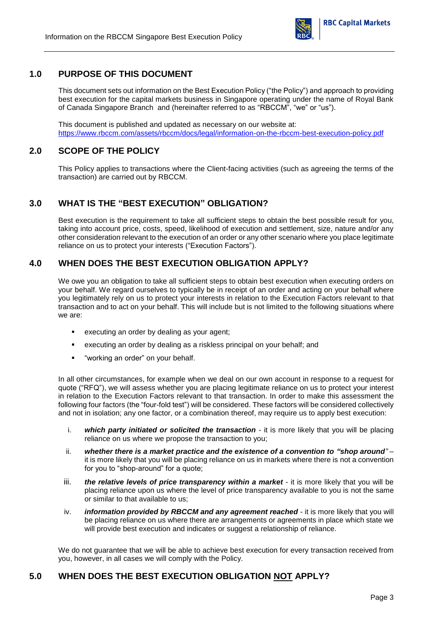

#### <span id="page-2-0"></span>**1.0 PURPOSE OF THIS DOCUMENT**

This document sets out information on the Best Execution Policy ("the Policy") and approach to providing best execution for the capital markets business in Singapore operating under the name of Royal Bank of Canada Singapore Branch and (hereinafter referred to as "RBCCM", "we" or "us").

This document is published and updated as necessary on our website at: <https://www.rbccm.com/assets/rbccm/docs/legal/information-on-the-rbccm-best-execution-policy.pdf>

#### <span id="page-2-1"></span>**2.0 SCOPE OF THE POLICY**

This Policy applies to transactions where the Client-facing activities (such as agreeing the terms of the transaction) are carried out by RBCCM.

#### <span id="page-2-2"></span>**3.0 WHAT IS THE "BEST EXECUTION" OBLIGATION?**

Best execution is the requirement to take all sufficient steps to obtain the best possible result for you, taking into account price, costs, speed, likelihood of execution and settlement, size, nature and/or any other consideration relevant to the execution of an order or any other scenario where you place legitimate reliance on us to protect your interests ("Execution Factors").

#### <span id="page-2-3"></span>**4.0 WHEN DOES THE BEST EXECUTION OBLIGATION APPLY?**

We owe you an obligation to take all sufficient steps to obtain best execution when executing orders on your behalf. We regard ourselves to typically be in receipt of an order and acting on your behalf where you legitimately rely on us to protect your interests in relation to the Execution Factors relevant to that transaction and to act on your behalf. This will include but is not limited to the following situations where we are:

- **EXECUTE AN INCOCO EXECUTE:** executing an order by dealing as your agent;
- executing an order by dealing as a riskless principal on your behalf; and
- "working an order" on your behalf.

In all other circumstances, for example when we deal on our own account in response to a request for quote ("RFQ"), we will assess whether you are placing legitimate reliance on us to protect your interest in relation to the Execution Factors relevant to that transaction. In order to make this assessment the following four factors (the "four-fold test") will be considered. These factors will be considered collectively and not in isolation; any one factor, or a combination thereof, may require us to apply best execution:

- i. **which party initiated or solicited the transaction** it is more likely that you will be placing reliance on us where we propose the transaction to you;
- ii. *whether there is a market practice and the existence of a convention to "shop around"* it is more likely that you will be placing reliance on us in markets where there is not a convention for you to "shop-around" for a quote;
- iii. *the relative levels of price transparency within a market it is more likely that you will be* placing reliance upon us where the level of price transparency available to you is not the same or similar to that available to us;
- iv. *information provided by RBCCM and any agreement reached it is more likely that you will* be placing reliance on us where there are arrangements or agreements in place which state we will provide best execution and indicates or suggest a relationship of reliance.

We do not guarantee that we will be able to achieve best execution for every transaction received from you, however, in all cases we will comply with the Policy.

#### <span id="page-2-4"></span>**5.0 WHEN DOES THE BEST EXECUTION OBLIGATION NOT APPLY?**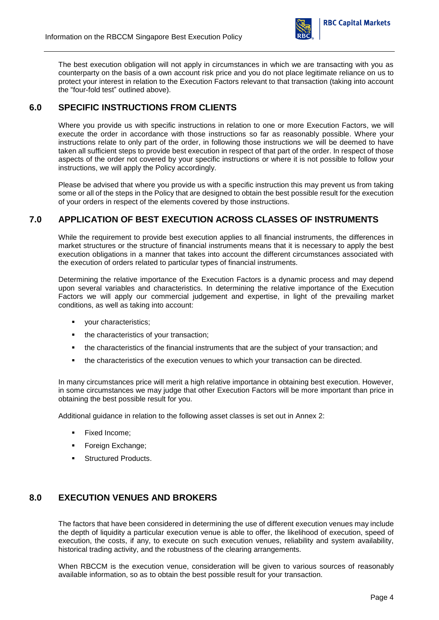

The best execution obligation will not apply in circumstances in which we are transacting with you as counterparty on the basis of a own account risk price and you do not place legitimate reliance on us to protect your interest in relation to the Execution Factors relevant to that transaction (taking into account the "four-fold test" outlined above).

#### <span id="page-3-0"></span>**6.0 SPECIFIC INSTRUCTIONS FROM CLIENTS**

Where you provide us with specific instructions in relation to one or more Execution Factors, we will execute the order in accordance with those instructions so far as reasonably possible. Where your instructions relate to only part of the order, in following those instructions we will be deemed to have taken all sufficient steps to provide best execution in respect of that part of the order. In respect of those aspects of the order not covered by your specific instructions or where it is not possible to follow your instructions, we will apply the Policy accordingly.

Please be advised that where you provide us with a specific instruction this may prevent us from taking some or all of the steps in the Policy that are designed to obtain the best possible result for the execution of your orders in respect of the elements covered by those instructions.

#### <span id="page-3-1"></span>**7.0 APPLICATION OF BEST EXECUTION ACROSS CLASSES OF INSTRUMENTS**

While the requirement to provide best execution applies to all financial instruments, the differences in market structures or the structure of financial instruments means that it is necessary to apply the best execution obligations in a manner that takes into account the different circumstances associated with the execution of orders related to particular types of financial instruments.

Determining the relative importance of the Execution Factors is a dynamic process and may depend upon several variables and characteristics. In determining the relative importance of the Execution Factors we will apply our commercial judgement and expertise, in light of the prevailing market conditions, as well as taking into account:

- vour characteristics;
- the characteristics of your transaction;
- the characteristics of the financial instruments that are the subject of your transaction; and
- the characteristics of the execution venues to which your transaction can be directed.

In many circumstances price will merit a high relative importance in obtaining best execution. However, in some circumstances we may judge that other Execution Factors will be more important than price in obtaining the best possible result for you.

Additional guidance in relation to the following asset classes is set out in Annex 2:

- Fixed Income;
- **Foreign Exchange;**
- **Structured Products.**

#### <span id="page-3-2"></span>**8.0 EXECUTION VENUES AND BROKERS**

The factors that have been considered in determining the use of different execution venues may include the depth of liquidity a particular execution venue is able to offer, the likelihood of execution, speed of execution, the costs, if any, to execute on such execution venues, reliability and system availability, historical trading activity, and the robustness of the clearing arrangements.

When RBCCM is the execution venue, consideration will be given to various sources of reasonably available information, so as to obtain the best possible result for your transaction.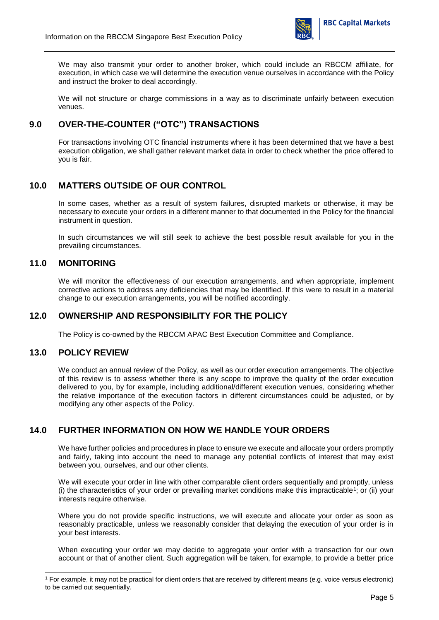

We may also transmit your order to another broker, which could include an RBCCM affiliate, for execution, in which case we will determine the execution venue ourselves in accordance with the Policy and instruct the broker to deal accordingly.

We will not structure or charge commissions in a way as to discriminate unfairly between execution venues.

#### <span id="page-4-0"></span>**9.0 OVER-THE-COUNTER ("OTC") TRANSACTIONS**

For transactions involving OTC financial instruments where it has been determined that we have a best execution obligation, we shall gather relevant market data in order to check whether the price offered to you is fair.

#### <span id="page-4-1"></span>**10.0 MATTERS OUTSIDE OF OUR CONTROL**

In some cases, whether as a result of system failures, disrupted markets or otherwise, it may be necessary to execute your orders in a different manner to that documented in the Policy for the financial instrument in question.

In such circumstances we will still seek to achieve the best possible result available for you in the prevailing circumstances.

#### <span id="page-4-2"></span>**11.0 MONITORING**

We will monitor the effectiveness of our execution arrangements, and when appropriate, implement corrective actions to address any deficiencies that may be identified. If this were to result in a material change to our execution arrangements, you will be notified accordingly.

#### <span id="page-4-3"></span>**12.0 OWNERSHIP AND RESPONSIBILITY FOR THE POLICY**

The Policy is co-owned by the RBCCM APAC Best Execution Committee and Compliance.

#### <span id="page-4-4"></span>**13.0 POLICY REVIEW**

l

We conduct an annual review of the Policy, as well as our order execution arrangements. The objective of this review is to assess whether there is any scope to improve the quality of the order execution delivered to you, by for example, including additional/different execution venues, considering whether the relative importance of the execution factors in different circumstances could be adjusted, or by modifying any other aspects of the Policy.

#### <span id="page-4-5"></span>**14.0 FURTHER INFORMATION ON HOW WE HANDLE YOUR ORDERS**

We have further policies and procedures in place to ensure we execute and allocate your orders promptly and fairly, taking into account the need to manage any potential conflicts of interest that may exist between you, ourselves, and our other clients.

We will execute your order in line with other comparable client orders sequentially and promptly, unless (i) the characteristics of your order or prevailing market conditions make this impracticable<sup>1</sup>; or (ii) your interests require otherwise.

Where you do not provide specific instructions, we will execute and allocate your order as soon as reasonably practicable, unless we reasonably consider that delaying the execution of your order is in your best interests.

When executing your order we may decide to aggregate your order with a transaction for our own account or that of another client. Such aggregation will be taken, for example, to provide a better price

<sup>1</sup> For example, it may not be practical for client orders that are received by different means (e.g. voice versus electronic) to be carried out sequentially.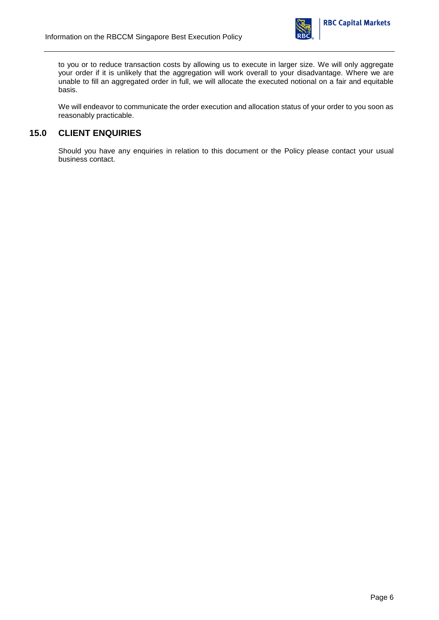

to you or to reduce transaction costs by allowing us to execute in larger size. We will only aggregate your order if it is unlikely that the aggregation will work overall to your disadvantage. Where we are unable to fill an aggregated order in full, we will allocate the executed notional on a fair and equitable basis.

We will endeavor to communicate the order execution and allocation status of your order to you soon as reasonably practicable.

#### <span id="page-5-0"></span>**15.0 CLIENT ENQUIRIES**

Should you have any enquiries in relation to this document or the Policy please contact your usual business contact.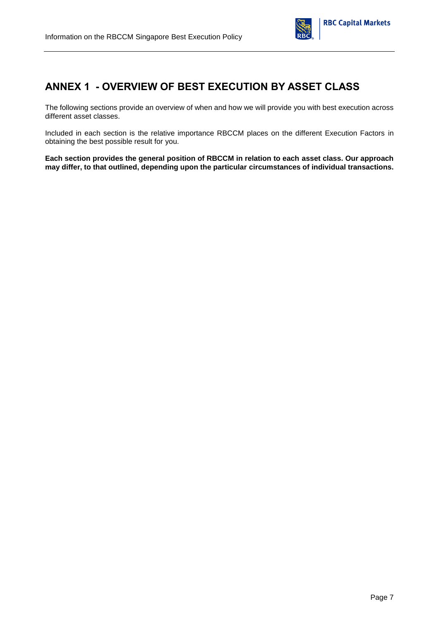

### <span id="page-6-0"></span>**ANNEX 1 - OVERVIEW OF BEST EXECUTION BY ASSET CLASS**

The following sections provide an overview of when and how we will provide you with best execution across different asset classes.

Included in each section is the relative importance RBCCM places on the different Execution Factors in obtaining the best possible result for you.

**Each section provides the general position of RBCCM in relation to each asset class. Our approach may differ, to that outlined, depending upon the particular circumstances of individual transactions.**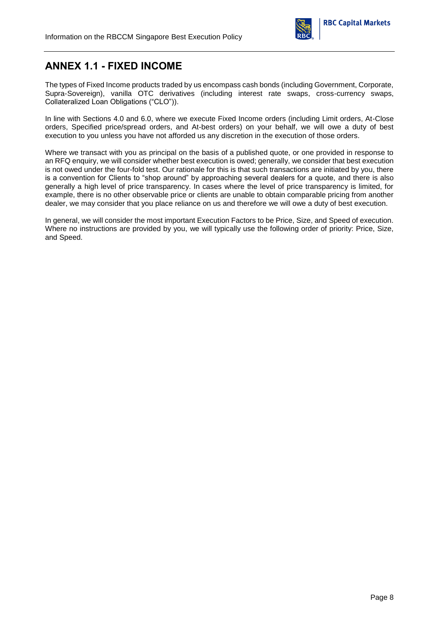

### <span id="page-7-0"></span>**ANNEX 1.1 - FIXED INCOME**

The types of Fixed Income products traded by us encompass cash bonds (including Government, Corporate, Supra-Sovereign), vanilla OTC derivatives (including interest rate swaps, cross-currency swaps, Collateralized Loan Obligations ("CLO")).

In line with Sections 4.0 and 6.0, where we execute Fixed Income orders (including Limit orders, At-Close orders, Specified price/spread orders, and At-best orders) on your behalf, we will owe a duty of best execution to you unless you have not afforded us any discretion in the execution of those orders.

Where we transact with you as principal on the basis of a published quote, or one provided in response to an RFQ enquiry, we will consider whether best execution is owed; generally, we consider that best execution is not owed under the four-fold test. Our rationale for this is that such transactions are initiated by you, there is a convention for Clients to "shop around" by approaching several dealers for a quote, and there is also generally a high level of price transparency. In cases where the level of price transparency is limited, for example, there is no other observable price or clients are unable to obtain comparable pricing from another dealer, we may consider that you place reliance on us and therefore we will owe a duty of best execution.

In general, we will consider the most important Execution Factors to be Price, Size, and Speed of execution. Where no instructions are provided by you, we will typically use the following order of priority: Price, Size, and Speed.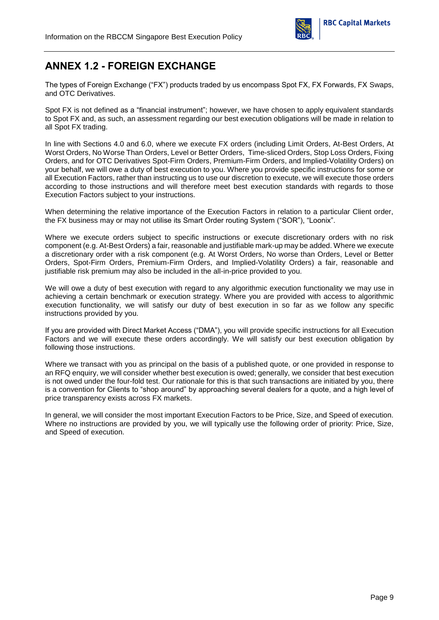

# <span id="page-8-0"></span>**ANNEX 1.2 - FOREIGN EXCHANGE**

The types of Foreign Exchange ("FX") products traded by us encompass Spot FX, FX Forwards, FX Swaps, and OTC Derivatives.

Spot FX is not defined as a "financial instrument"; however, we have chosen to apply equivalent standards to Spot FX and, as such, an assessment regarding our best execution obligations will be made in relation to all Spot FX trading.

In line with Sections 4.0 and 6.0, where we execute FX orders (including Limit Orders, At-Best Orders, At Worst Orders, No Worse Than Orders, Level or Better Orders, Time-sliced Orders, Stop Loss Orders, Fixing Orders, and for OTC Derivatives Spot-Firm Orders, Premium-Firm Orders, and Implied-Volatility Orders) on your behalf, we will owe a duty of best execution to you. Where you provide specific instructions for some or all Execution Factors, rather than instructing us to use our discretion to execute, we will execute those orders according to those instructions and will therefore meet best execution standards with regards to those Execution Factors subject to your instructions.

When determining the relative importance of the Execution Factors in relation to a particular Client order, the FX business may or may not utilise its Smart Order routing System ("SOR"), "Loonix".

Where we execute orders subject to specific instructions or execute discretionary orders with no risk component (e.g. At-Best Orders) a fair, reasonable and justifiable mark-up may be added. Where we execute a discretionary order with a risk component (e.g. At Worst Orders, No worse than Orders, Level or Better Orders, Spot-Firm Orders, Premium-Firm Orders, and Implied-Volatility Orders) a fair, reasonable and justifiable risk premium may also be included in the all-in-price provided to you.

We will owe a duty of best execution with regard to any algorithmic execution functionality we may use in achieving a certain benchmark or execution strategy. Where you are provided with access to algorithmic execution functionality, we will satisfy our duty of best execution in so far as we follow any specific instructions provided by you.

If you are provided with Direct Market Access ("DMA"), you will provide specific instructions for all Execution Factors and we will execute these orders accordingly. We will satisfy our best execution obligation by following those instructions.

Where we transact with you as principal on the basis of a published quote, or one provided in response to an RFQ enquiry, we will consider whether best execution is owed; generally, we consider that best execution is not owed under the four-fold test. Our rationale for this is that such transactions are initiated by you, there is a convention for Clients to "shop around" by approaching several dealers for a quote, and a high level of price transparency exists across FX markets.

In general, we will consider the most important Execution Factors to be Price, Size, and Speed of execution. Where no instructions are provided by you, we will typically use the following order of priority: Price, Size, and Speed of execution.